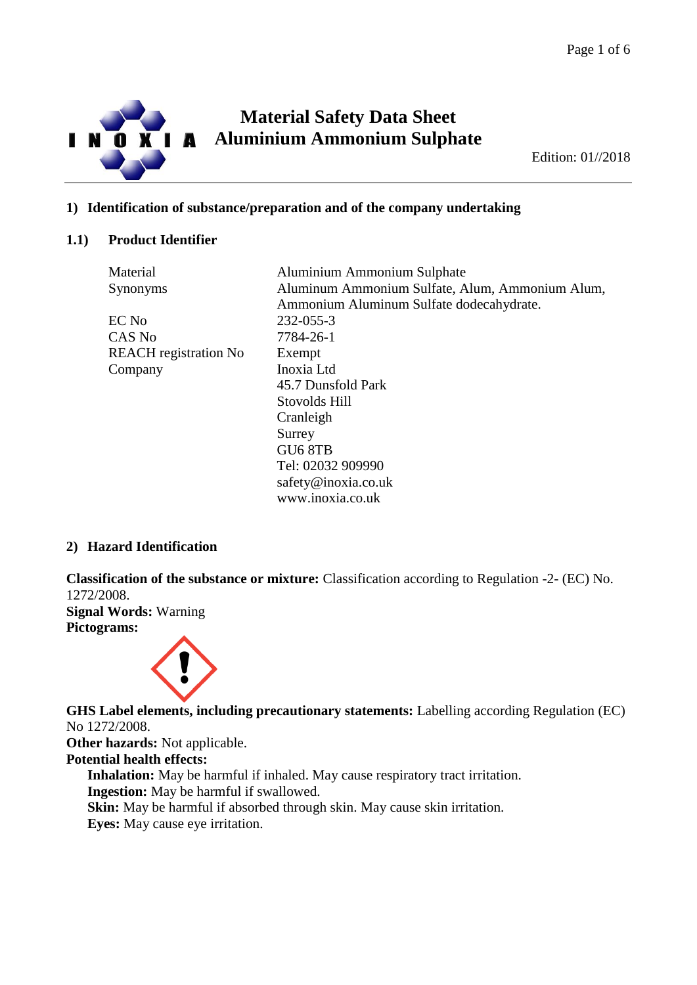

# **Material Safety Data Sheet Aluminium Ammonium Sulphate**

Edition: 01//2018

# **1) Identification of substance/preparation and of the company undertaking**

# **1.1) Product Identifier**

| Material                     | Aluminium Ammonium Sulphate                     |
|------------------------------|-------------------------------------------------|
| Synonyms                     | Aluminum Ammonium Sulfate, Alum, Ammonium Alum, |
|                              | Ammonium Aluminum Sulfate dodecahydrate.        |
| EC No                        | 232-055-3                                       |
| CAS No                       | 7784-26-1                                       |
| <b>REACH</b> registration No | Exempt                                          |
| Company                      | Inoxia Ltd                                      |
|                              | 45.7 Dunsfold Park                              |
|                              | Stovolds Hill                                   |
|                              | Cranleigh                                       |
|                              | Surrey                                          |
|                              | GU6 8TB                                         |
|                              | Tel: 02032 909990                               |
|                              | safety@inoxia.co.uk                             |
|                              | www.inoxia.co.uk                                |

# **2) Hazard Identification**

**Classification of the substance or mixture:** Classification according to Regulation -2- (EC) No. 1272/2008.

**Signal Words:** Warning **Pictograms:**



**GHS Label elements, including precautionary statements:** Labelling according Regulation (EC) No 1272/2008.

**Other hazards:** Not applicable.

**Potential health effects:**

**Inhalation:** May be harmful if inhaled. May cause respiratory tract irritation.

**Ingestion:** May be harmful if swallowed.

**Skin:** May be harmful if absorbed through skin. May cause skin irritation.

**Eyes:** May cause eye irritation.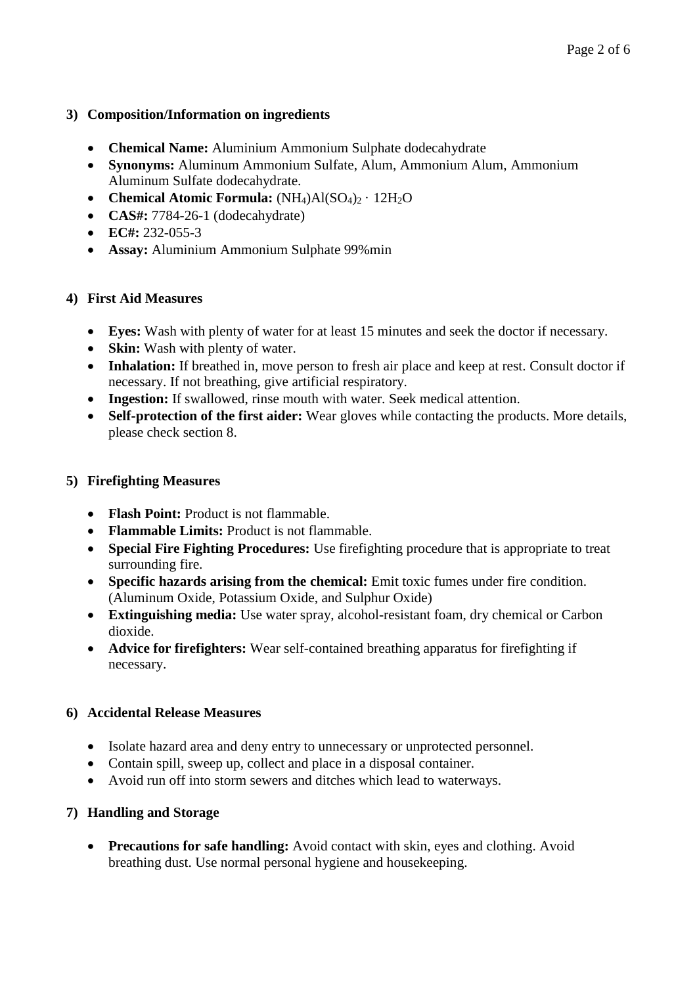# **3) Composition/Information on ingredients**

- **Chemical Name:** Aluminium Ammonium Sulphate dodecahydrate
- **Synonyms:** Aluminum Ammonium Sulfate, Alum, Ammonium Alum, Ammonium Aluminum Sulfate dodecahydrate.
- **Chemical Atomic Formula:**  $(NH_4)Al(SO_4)_2 \cdot 12H_2O$
- **CAS#:** 7784-26-1 (dodecahydrate)
- **EC#:** 232-055-3
- **Assay:** Aluminium Ammonium Sulphate 99%min

# **4) First Aid Measures**

- **Eyes:** Wash with plenty of water for at least 15 minutes and seek the doctor if necessary.
- **Skin:** Wash with plenty of water.
- **Inhalation:** If breathed in, move person to fresh air place and keep at rest. Consult doctor if necessary. If not breathing, give artificial respiratory.
- **Ingestion:** If swallowed, rinse mouth with water. Seek medical attention.
- **Self-protection of the first aider:** Wear gloves while contacting the products. More details, please check section 8.

# **5) Firefighting Measures**

- **Flash Point:** Product is not flammable.
- **Flammable Limits:** Product is not flammable.
- **Special Fire Fighting Procedures:** Use firefighting procedure that is appropriate to treat surrounding fire.
- **Specific hazards arising from the chemical:** Emit toxic fumes under fire condition. (Aluminum Oxide, Potassium Oxide, and Sulphur Oxide)
- **Extinguishing media:** Use water spray, alcohol-resistant foam, dry chemical or Carbon dioxide.
- **Advice for firefighters:** Wear self-contained breathing apparatus for firefighting if necessary.

# **6) Accidental Release Measures**

- Isolate hazard area and deny entry to unnecessary or unprotected personnel.
- Contain spill, sweep up, collect and place in a disposal container.
- Avoid run off into storm sewers and ditches which lead to waterways.

# **7) Handling and Storage**

• **Precautions for safe handling:** Avoid contact with skin, eyes and clothing. Avoid breathing dust. Use normal personal hygiene and housekeeping.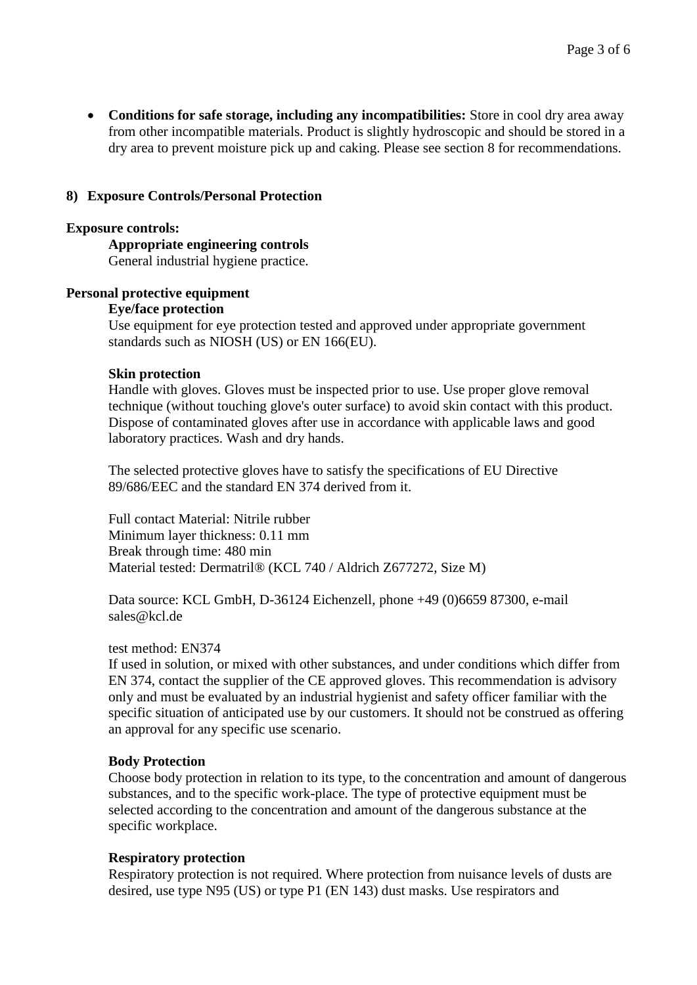• **Conditions for safe storage, including any incompatibilities:** Store in cool dry area away from other incompatible materials. Product is slightly hydroscopic and should be stored in a dry area to prevent moisture pick up and caking. Please see section 8 for recommendations.

# **8) Exposure Controls/Personal Protection**

### **Exposure controls:**

**Appropriate engineering controls**

General industrial hygiene practice.

### **Personal protective equipment**

### **Eye/face protection**

Use equipment for eye protection tested and approved under appropriate government standards such as NIOSH (US) or EN 166(EU).

### **Skin protection**

Handle with gloves. Gloves must be inspected prior to use. Use proper glove removal technique (without touching glove's outer surface) to avoid skin contact with this product. Dispose of contaminated gloves after use in accordance with applicable laws and good laboratory practices. Wash and dry hands.

The selected protective gloves have to satisfy the specifications of EU Directive 89/686/EEC and the standard EN 374 derived from it.

Full contact Material: Nitrile rubber Minimum layer thickness: 0.11 mm Break through time: 480 min Material tested: Dermatril® (KCL 740 / Aldrich Z677272, Size M)

Data source: KCL GmbH, D-36124 Eichenzell, phone +49 (0)6659 87300, e-mail sales@kcl.de

#### test method: EN374

If used in solution, or mixed with other substances, and under conditions which differ from EN 374, contact the supplier of the CE approved gloves. This recommendation is advisory only and must be evaluated by an industrial hygienist and safety officer familiar with the specific situation of anticipated use by our customers. It should not be construed as offering an approval for any specific use scenario.

# **Body Protection**

Choose body protection in relation to its type, to the concentration and amount of dangerous substances, and to the specific work-place. The type of protective equipment must be selected according to the concentration and amount of the dangerous substance at the specific workplace.

# **Respiratory protection**

Respiratory protection is not required. Where protection from nuisance levels of dusts are desired, use type N95 (US) or type P1 (EN 143) dust masks. Use respirators and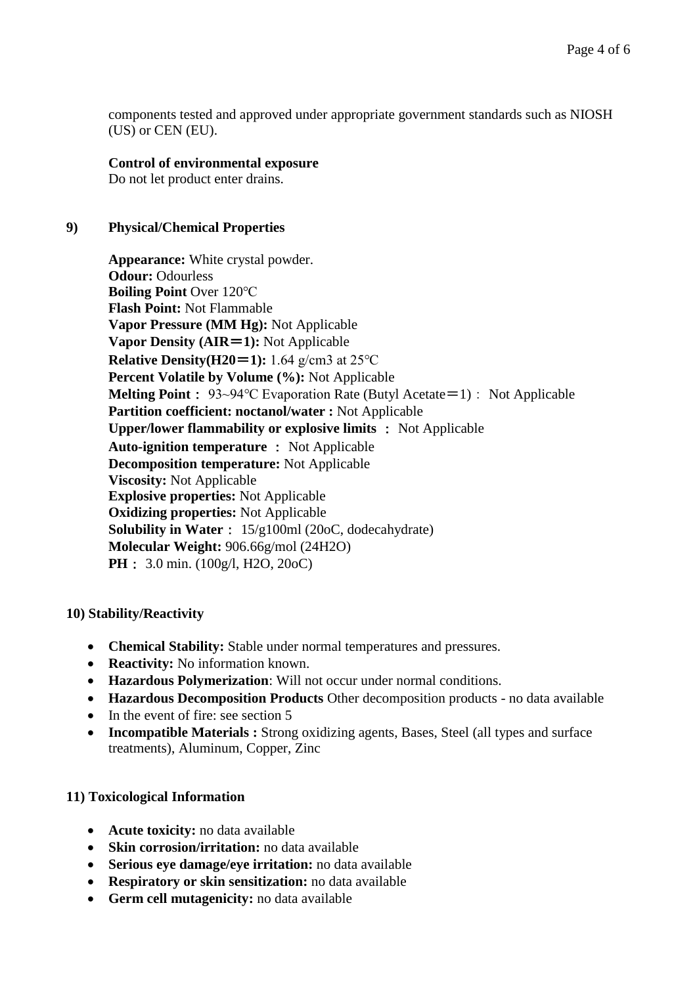components tested and approved under appropriate government standards such as NIOSH (US) or CEN (EU).

# **Control of environmental exposure**

Do not let product enter drains.

# **9) Physical/Chemical Properties**

**Appearance:** White crystal powder. **Odour:** Odourless **Boiling Point** Over 120℃ **Flash Point:** Not Flammable **Vapor Pressure (MM Hg):** Not Applicable **Vapor Density (AIR**=**1):** Not Applicable **Relative Density(H20**=**1):** 1.64 g/cm3 at 25℃ **Percent Volatile by Volume (%): Not Applicable Melting Point**: 93~94℃ Evaporation Rate (Butyl Acetate=1): Not Applicable **Partition coefficient: noctanol/water :** Not Applicable **Upper/lower flammability or explosive limits** : Not Applicable **Auto-ignition temperature** : Not Applicable **Decomposition temperature:** Not Applicable **Viscosity:** Not Applicable **Explosive properties:** Not Applicable **Oxidizing properties:** Not Applicable **Solubility in Water**: 15/g100ml (20oC, dodecahydrate) **Molecular Weight:** 906.66g/mol (24H2O) **PH**: 3.0 min. (100g/l, H2O, 20oC)

# **10) Stability/Reactivity**

- **Chemical Stability:** Stable under normal temperatures and pressures.
- **Reactivity:** No information known.
- **Hazardous Polymerization**: Will not occur under normal conditions.
- **Hazardous Decomposition Products** Other decomposition products no data available
- In the event of fire: see section 5
- **Incompatible Materials :** Strong oxidizing agents, Bases, Steel (all types and surface treatments), Aluminum, Copper, Zinc

# **11) Toxicological Information**

- **Acute toxicity:** no data available
- **Skin corrosion/irritation:** no data available
- **Serious eye damage/eye irritation:** no data available
- **Respiratory or skin sensitization:** no data available
- **Germ cell mutagenicity:** no data available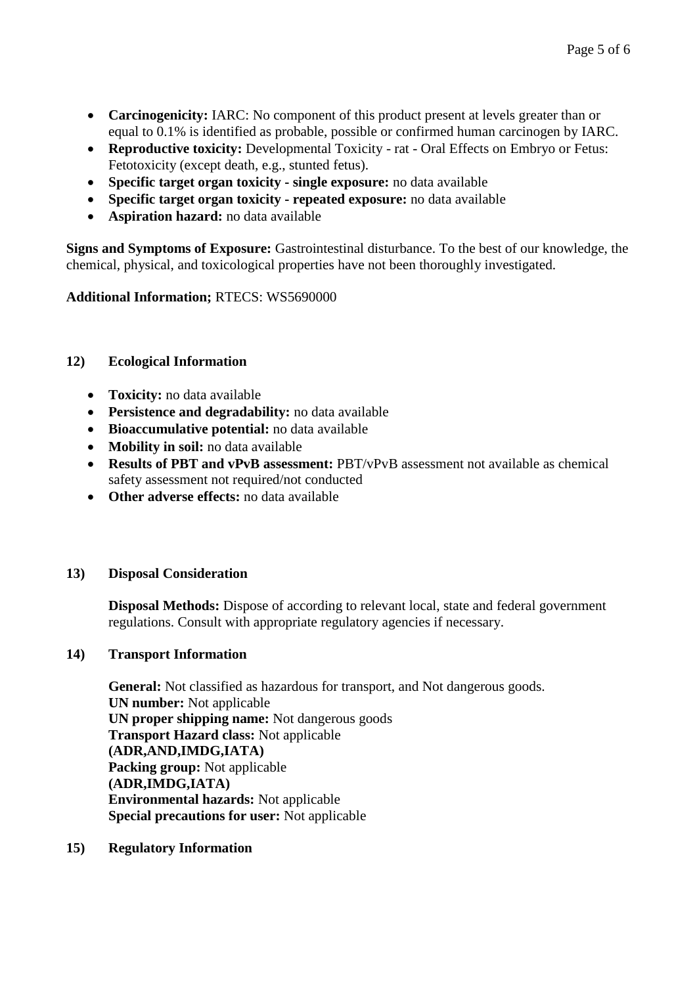- **Carcinogenicity:** IARC: No component of this product present at levels greater than or equal to 0.1% is identified as probable, possible or confirmed human carcinogen by IARC.
- **Reproductive toxicity:** Developmental Toxicity rat Oral Effects on Embryo or Fetus: Fetotoxicity (except death, e.g., stunted fetus).
- **Specific target organ toxicity - single exposure:** no data available
- **Specific target organ toxicity - repeated exposure:** no data available
- **Aspiration hazard:** no data available

**Signs and Symptoms of Exposure:** Gastrointestinal disturbance. To the best of our knowledge, the chemical, physical, and toxicological properties have not been thoroughly investigated.

**Additional Information;** RTECS: WS5690000

# **12) Ecological Information**

- **Toxicity:** no data available
- **Persistence and degradability:** no data available
- **Bioaccumulative potential:** no data available
- **Mobility in soil:** no data available
- **Results of PBT and vPvB assessment:** PBT/vPvB assessment not available as chemical safety assessment not required/not conducted
- **Other adverse effects:** no data available

# **13) Disposal Consideration**

**Disposal Methods:** Dispose of according to relevant local, state and federal government regulations. Consult with appropriate regulatory agencies if necessary.

# **14) Transport Information**

**General:** Not classified as hazardous for transport, and Not dangerous goods. **UN number:** Not applicable **UN proper shipping name:** Not dangerous goods **Transport Hazard class:** Not applicable **(ADR,AND,IMDG,IATA) Packing group:** Not applicable **(ADR,IMDG,IATA) Environmental hazards:** Not applicable **Special precautions for user:** Not applicable

# **15) Regulatory Information**